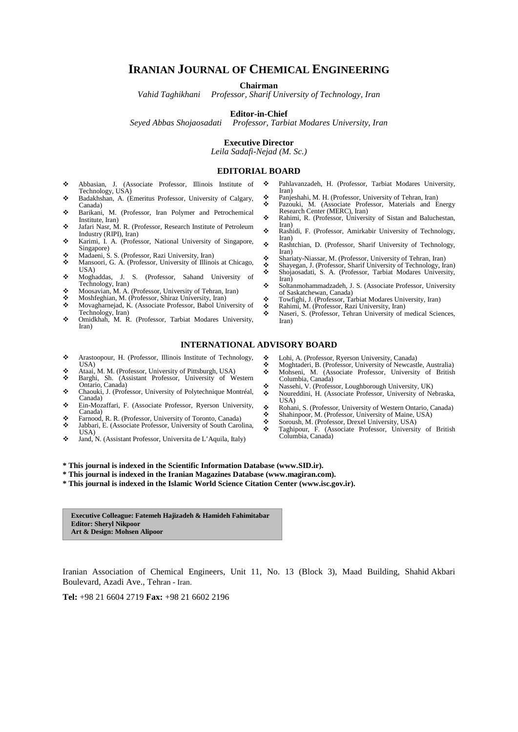## **IRANIAN JOURNAL OF CHEMICAL ENGINEERING**

**Chairman**

*Vahid Taghikhani Professor, Sharif University of Technology, Iran*

#### **Editor-in-Chief**

*Seyed Abbas Shojaosadati Professor, Tarbiat Modares University, Iran*

#### **Executive Director**

*Leila Sadafi-Nejad (M. Sc.)*

#### **EDITORIAL BOARD**

- Abbasian, J. (Associate Professor, Illinois Institute of Technology, USA)
- Badakhshan, A. (Emeritus Professor, University of Calgary, Canada)
- Barikani, M. (Professor, Iran Polymer and Petrochemical Institute, Iran)
- Jafari Nasr, M. R. (Professor, Research Institute of Petroleum Industry (RIPI), Iran)
- Karimi, I. A. (Professor, National University of Singapore, Singapore)
- ◆ Madaeni, S. S. (Professor, Razi University, Iran) Mansoori, G. A. (Professor, University of Illinois at Chicago, USA)
- Moghaddas, J. S. (Professor, Sahand University of
- Technology, Iran) Moosavian, M. A. (Professor, University of Tehran, Iran)
- 
- **Moshfeghian, M. (Professor, Shiraz University, Iran)**<br>
Movagharneiad K. (Associate Professor, Babol University, Movagharnejad, K. (Associate Professor, Babol University of
- Technology, Iran) Omidkhah, M. R. (Professor, Tarbiat Modares University, Iran)
- Pahlavanzadeh, H. (Professor, Tarbiat Modares University, Iran)
- Panjeshahi, M. H. (Professor, University of Tehran, Iran) Pazouki, M. (Associate Professor, Materials and Energy Research Center (MERC), Iran)
- \* Rahimi, R. (Professor, University of Sistan and Baluchestan, Iran)
- Rashidi, F. (Professor, Amirkabir University of Technology, Iran)
- Rashtchian, D. (Professor, Sharif University of Technology, Iran)
- Shariaty-Niassar, M. (Professor, University of Tehran, Iran)
- Shayegan, J. (Professor, Sharif University of Technology, Iran) Shojaosadati, S. A. (Professor, Tarbiat Modares University,
- Iran) Soltanmohammadzadeh, J. S. (Associate Professor, University
- of Saskatchewan, Canada)
- \* Towfighi, J. (Professor, Tarbiat Modares University, Iran)
- **Rahimi, M. (Professor, Razi University, Iran)**<br> **••** Naseri S. (Professor, Tehran University of t Naseri, S. (Professor, Tehran University of medical Sciences, Iran)

#### **INTERNATIONAL ADVISORY BOARD**

- Arastoopour, H. (Professor, Illinois Institute of Technology, USA)
- Ataai, M. M. (Professor, University of Pittsburgh, USA) Barghi, Sh. (Assistant Professor, University of Western
- Ontario, Canada)
- \* Chaouki, J. (Professor, University of Polytechnique Montréal, Canada) Ein-Mozaffari, F. (Associate Professor, Ryerson University,
- Canada)
- **S** Farnood, R. R. (Professor, University of Toronto, Canada)<br> **S** Iabbari E. (Associate Professor, University of South Caro
- Jabbari, E. (Associate Professor, University of South Carolina, USA)
- Jand, N. (Assistant Professor, Universita de L'Aquila, Italy)
- A Lohi, A. (Professor, Ryerson University, Canada)<br>
Moghtaderi B. (Professor, University of Newcast
- **Moghtaderi, B. (Professor, University of Newcastle, Australia)**<br> **Mohemi** M. (Associate Professor, University of British Mohseni, M. (Associate Professor, University of British
- Columbia, Canada)
- Nassehi, V. (Professor, Loughborough University, UK) Noureddini, H. (Associate Professor, University of Nebraska, USA)
- \* Rohani, S. (Professor, University of Western Ontario, Canada)<br>
Shahinpoor M. (Professor, University of Maine, USA)
- Shahinpoor, M. (Professor, University of Maine, USA)<br>Soroush M. (Professor, Drevel University USA)
- Soroush, M. (Professor, Drexel University, USA)
- Taghipour, F. (Associate Professor, University of British Columbia, Canada)

**\* This journal is indexed in the Scientific Information Database (www.SID.ir).** 

- **\* This journal is indexed in the Iranian Magazines Database (www.magiran.com).**
- **\* This journal is indexed in the Islamic World Science Citation Center (www.isc.gov.ir).**

**Executive Colleague: Fatemeh Hajizadeh & Hamideh Fahimitabar Editor: Sheryl Nikpoor Art & Design: Mohsen Alipoor**

Iranian Association of Chemical Engineers, Unit 11, No. 13 (Block 3), Maad Building, Shahid Akbari Boulevard, Azadi Ave., Tehran - Iran.

**Tel:** +98 21 6604 2719 **Fax:** +98 21 6602 2196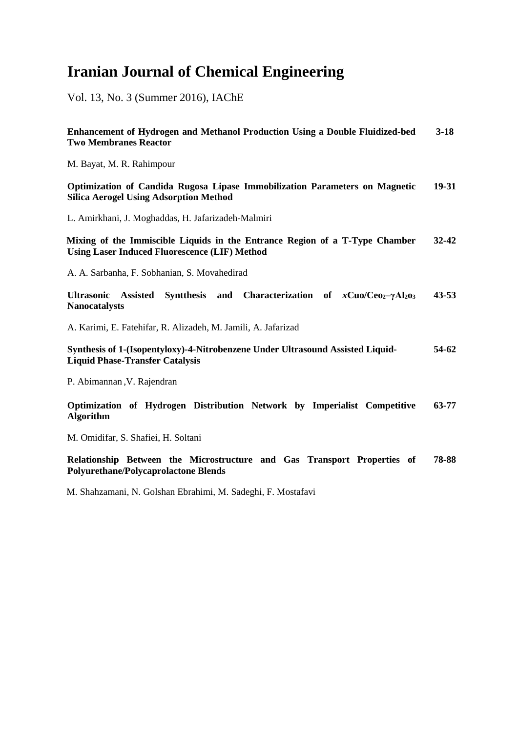# **Iranian Journal of Chemical Engineering**

Vol. 13, No. 3 (Summer 2016), IAChE

| Enhancement of Hydrogen and Methanol Production Using a Double Fluidized-bed<br><b>Two Membranes Reactor</b>                         | $3-18$    |
|--------------------------------------------------------------------------------------------------------------------------------------|-----------|
| M. Bayat, M. R. Rahimpour                                                                                                            |           |
| Optimization of Candida Rugosa Lipase Immobilization Parameters on Magnetic<br><b>Silica Aerogel Using Adsorption Method</b>         | $19-31$   |
| L. Amirkhani, J. Moghaddas, H. Jafarizadeh-Malmiri                                                                                   |           |
| Mixing of the Immiscible Liquids in the Entrance Region of a T-Type Chamber<br><b>Using Laser Induced Fluorescence (LIF) Method</b>  | $32 - 42$ |
| A. A. Sarbanha, F. Sobhanian, S. Movahedirad                                                                                         |           |
| <b>Syntthesis</b><br>and Characterization of $xCuo/Ceo2-\gammaAl2o3$<br><b>Ultrasonic</b><br><b>Assisted</b><br><b>Nanocatalysts</b> | $43 - 53$ |
| A. Karimi, E. Fatehifar, R. Alizadeh, M. Jamili, A. Jafarizad                                                                        |           |
| Synthesis of 1-(Isopentyloxy)-4-Nitrobenzene Under Ultrasound Assisted Liquid-<br><b>Liquid Phase-Transfer Catalysis</b>             | 54-62     |
| P. Abimannan, V. Rajendran                                                                                                           |           |
| Optimization of Hydrogen Distribution Network by Imperialist Competitive<br><b>Algorithm</b>                                         | 63-77     |
| M. Omidifar, S. Shafiei, H. Soltani                                                                                                  |           |
| Relationship Between the Microstructure and Gas Transport Properties of<br><b>Polyurethane/Polycaprolactone Blends</b>               | 78-88     |

M. Shahzamani, N. Golshan Ebrahimi, M. Sadeghi, F. Mostafavi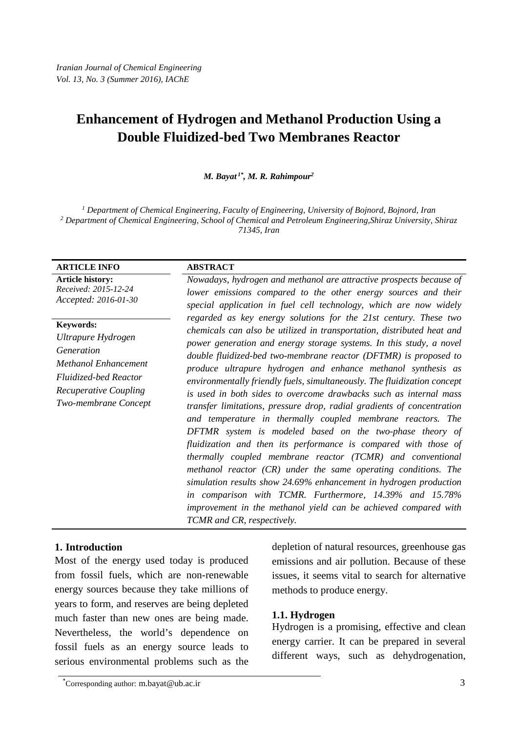*M. Bayat 1\* , M. R. Rahimpour2*

*<sup>1</sup> Department of Chemical Engineering, Faculty of Engineering, University of Bojnord, Bojnord, Iran <sup>2</sup> Department of Chemical Engineering, School of Chemical and Petroleum Engineering,Shiraz University, Shiraz 71345, Iran*

| <b>ARTICLE INFO</b>                                                                                                                                    | <b>ABSTRACT</b>                                                                                                                                                                                                                                                                                                                                                                                                                                                                                                                                                                                                                                                                                                                                                                                                                                                                                                                                                                                                                                                                                                                                          |
|--------------------------------------------------------------------------------------------------------------------------------------------------------|----------------------------------------------------------------------------------------------------------------------------------------------------------------------------------------------------------------------------------------------------------------------------------------------------------------------------------------------------------------------------------------------------------------------------------------------------------------------------------------------------------------------------------------------------------------------------------------------------------------------------------------------------------------------------------------------------------------------------------------------------------------------------------------------------------------------------------------------------------------------------------------------------------------------------------------------------------------------------------------------------------------------------------------------------------------------------------------------------------------------------------------------------------|
| <b>Article history:</b><br>Received: 2015-12-24<br>Accepted: 2016-01-30                                                                                | Nowadays, hydrogen and methanol are attractive prospects because of<br>lower emissions compared to the other energy sources and their<br>special application in fuel cell technology, which are now widely                                                                                                                                                                                                                                                                                                                                                                                                                                                                                                                                                                                                                                                                                                                                                                                                                                                                                                                                               |
| Keywords:<br>Ultrapure Hydrogen<br>Generation<br>Methanol Enhancement<br><b>Fluidized-bed Reactor</b><br>Recuperative Coupling<br>Two-membrane Concept | regarded as key energy solutions for the 21st century. These two<br>chemicals can also be utilized in transportation, distributed heat and<br>power generation and energy storage systems. In this study, a novel<br>double fluidized-bed two-membrane reactor (DFTMR) is proposed to<br>produce ultrapure hydrogen and enhance methanol synthesis as<br>environmentally friendly fuels, simultaneously. The fluidization concept<br>is used in both sides to overcome drawbacks such as internal mass<br>transfer limitations, pressure drop, radial gradients of concentration<br>and temperature in thermally coupled membrane reactors. The<br><b>DFTMR</b> system is modeled based on the two-phase theory of<br>fluidization and then its performance is compared with those of<br>thermally coupled membrane reactor (TCMR) and conventional<br>methanol reactor $(CR)$ under the same operating conditions. The<br>simulation results show 24.69% enhancement in hydrogen production<br>in comparison with TCMR. Furthermore, 14.39% and 15.78%<br>improvement in the methanol yield can be achieved compared with<br>TCMR and CR, respectively. |

## **1. Introduction**

Most of the energy used today is produced from fossil fuels, which are non-renewable energy sources because they take millions of years to form, and reserves are being depleted much faster than new ones are being made. Nevertheless, the world's dependence on fossil fuels as an energy source leads to serious environmental problems such as the depletion of natural resources, greenhouse gas emissions and air pollution. Because of these issues, it seems vital to search for alternative methods to produce energy.

## **1.1. Hydrogen**

Hydrogen is a promising, effective and clean energy carrier. It can be prepared in several different ways, such as dehydrogenation,

<sup>\*</sup> Corresponding author: [m.bayat@ub.ac.ir](mailto:m.bayat@ub.ac.ir) 3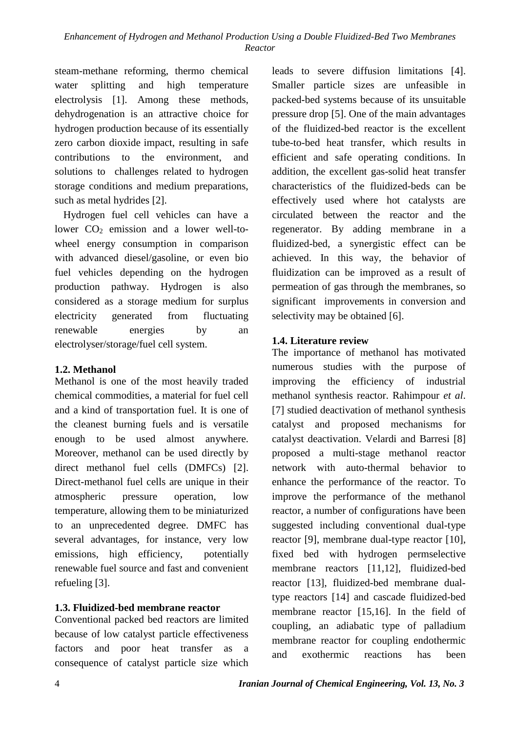steam-methane reforming, thermo chemical water splitting and high temperature electrolysis [1]. Among these methods, dehydrogenation is an attractive choice for hydrogen production because of its essentially zero carbon dioxide impact, resulting in safe contributions to the environment, and solutions to challenges related to hydrogen storage conditions and medium preparations, such as metal hydrides [2].

Hydrogen fuel cell vehicles can have a lower  $CO<sub>2</sub>$  emission and a lower well-towheel energy consumption in comparison with advanced diesel/gasoline, or even bio fuel vehicles depending on the hydrogen production pathway. Hydrogen is also considered as a storage medium for surplus electricity generated from fluctuating renewable energies by an electrolyser/storage/fuel cell system.

## **1.2. Methanol**

Methanol is one of the most heavily traded chemical commodities, a material for fuel cell and a kind of transportation fuel. It is one of the cleanest burning fuels and is versatile enough to be used almost anywhere. Moreover, methanol can be used directly by direct methanol fuel cells (DMFCs) [2]. Direct-methanol fuel cells are unique in their atmospheric pressure operation, low temperature, allowing them to be miniaturized to an unprecedented degree. DMFC has several advantages, for instance, very low emissions, high efficiency, potentially renewable fuel source and fast and convenient refueling [3].

# **1.3. Fluidized-bed membrane reactor**

Conventional packed bed reactors are limited because of low catalyst particle effectiveness factors and poor heat transfer as a consequence of catalyst particle size which leads to severe diffusion limitations [4]. Smaller particle sizes are unfeasible in packed-bed systems because of its unsuitable pressure drop [5]. One of the main advantages of the fluidized-bed reactor is the excellent tube-to-bed heat transfer, which results in efficient and safe operating conditions. In addition, the excellent gas-solid heat transfer characteristics of the fluidized-beds can be effectively used where hot catalysts are circulated between the reactor and the regenerator. By adding membrane in a fluidized-bed, a synergistic effect can be achieved. In this way, the behavior of fluidization can be improved as a result of permeation of gas through the membranes, so significant improvements in conversion and selectivity may be obtained [6].

# **1.4. Literature review**

The importance of methanol has motivated numerous studies with the purpose of improving the efficiency of industrial methanol synthesis reactor. Rahimpour *et al*. [7] studied deactivation of methanol synthesis catalyst and proposed mechanisms for catalyst deactivation. Velardi and Barresi [8] proposed a multi-stage methanol reactor network with auto-thermal behavior to enhance the performance of the reactor. To improve the performance of the methanol reactor, a number of configurations have been suggested including conventional dual-type reactor [9], membrane dual-type reactor [10], fixed bed with hydrogen permselective membrane reactors [11,12], fluidized-bed reactor [13], fluidized-bed membrane dualtype reactors [14] and cascade fluidized-bed membrane reactor [15,16]. In the field of coupling, an adiabatic type of palladium membrane reactor for coupling endothermic and exothermic reactions has been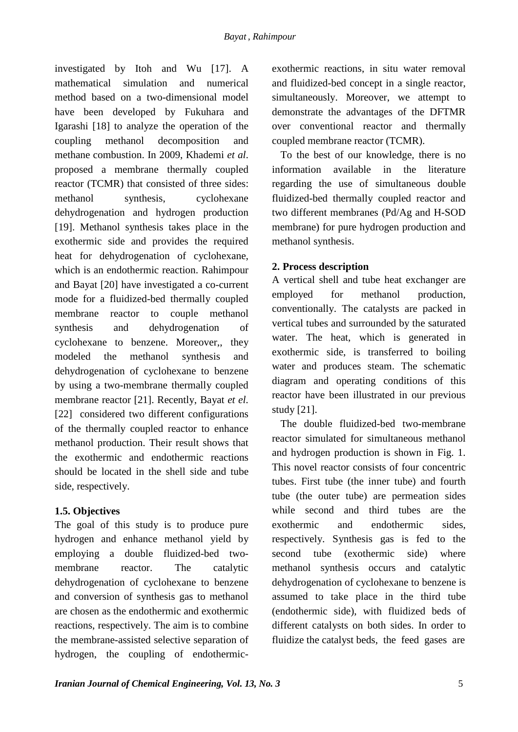investigated by Itoh and Wu [17]. A mathematical simulation and numerical method based on a two-dimensional model have been developed by Fukuhara and Igarashi [18] to analyze the operation of the coupling methanol decomposition and methane combustion. In 2009, Khademi *et al*. proposed a membrane thermally coupled reactor (TCMR) that consisted of three sides: methanol synthesis, cyclohexane dehydrogenation and hydrogen production [19]. Methanol synthesis takes place in the exothermic side and provides the required heat for dehydrogenation of cyclohexane, which is an endothermic reaction. Rahimpour and Bayat [20] have investigated a co-current mode for a fluidized-bed thermally coupled membrane reactor to couple methanol synthesis and dehydrogenation of cyclohexane to benzene. Moreover,, they modeled the methanol synthesis and dehydrogenation of cyclohexane to benzene by using a two-membrane thermally coupled membrane reactor [21]. Recently, Bayat *et el*. [22] considered two different configurations of the thermally coupled reactor to enhance methanol production. Their result shows that the exothermic and endothermic reactions should be located in the shell side and tube side, respectively.

## **1.5. Objectives**

The goal of this study is to produce pure hydrogen and enhance methanol yield by employing a double fluidized-bed twomembrane reactor. The catalytic dehydrogenation of cyclohexane to benzene and conversion of synthesis gas to methanol are chosen as the endothermic and exothermic reactions, respectively. The aim is to combine the membrane-assisted selective separation of hydrogen, the coupling of endothermicexothermic reactions, in situ water removal and fluidized-bed concept in a single reactor, simultaneously. Moreover, we attempt to demonstrate the advantages of the DFTMR over conventional reactor and thermally coupled membrane reactor (TCMR).

To the best of our knowledge, there is no information available in the literature regarding the use of simultaneous double fluidized-bed thermally coupled reactor and two different membranes (Pd/Ag and H-SOD membrane) for pure hydrogen production and methanol synthesis.

## **2. Process description**

A vertical shell and tube heat exchanger are employed for methanol production, conventionally. The catalysts are packed in vertical tubes and surrounded by the saturated water. The heat, which is generated in exothermic side, is transferred to boiling water and produces steam. The schematic diagram and operating conditions of this reactor have been illustrated in our previous study [21].

The double fluidized-bed two-membrane reactor simulated for simultaneous methanol and hydrogen production is shown in Fig. 1. This novel reactor consists of four concentric tubes. First tube (the inner tube) and fourth tube (the outer tube) are permeation sides while second and third tubes are the exothermic and endothermic sides, respectively. Synthesis gas is fed to the second tube (exothermic side) where methanol synthesis occurs and catalytic dehydrogenation of cyclohexane to benzene is assumed to take place in the third tube (endothermic side), with fluidized beds of different catalysts on both sides. In order to fluidize the catalyst beds, the feed gases are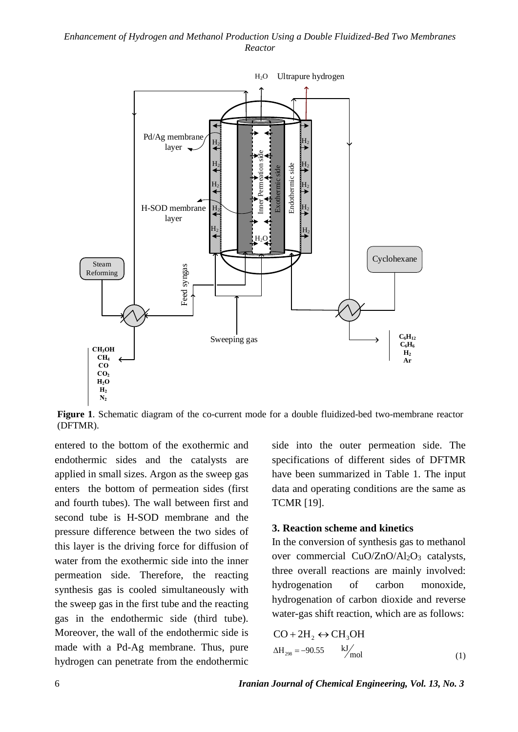

**Figure 1**. Schematic diagram of the co-current mode for a double fluidized-bed two-membrane reactor (DFTMR).

entered to the bottom of the exothermic and endothermic sides and the catalysts are applied in small sizes. Argon as the sweep gas enters the bottom of permeation sides (first and fourth tubes). The wall between first and second tube is H-SOD membrane and the pressure difference between the two sides of this layer is the driving force for diffusion of water from the exothermic side into the inner permeation side. Therefore, the reacting synthesis gas is cooled simultaneously with the sweep gas in the first tube and the reacting gas in the endothermic side (third tube). Moreover, the wall of the endothermic side is made with a Pd-Ag membrane. Thus, pure hydrogen can penetrate from the endothermic

side into the outer permeation side. The specifications of different sides of DFTMR have been summarized in Table 1. The input data and operating conditions are the same as TCMR [19].

### **3. Reaction scheme and kinetics**

In the conversion of synthesis gas to methanol over commercial CuO/ZnO/Al<sub>2</sub>O<sub>3</sub> catalysts, three overall reactions are mainly involved: hydrogenation of carbon monoxide, hydrogenation of carbon dioxide and reverse water-gas shift reaction, which are as follows:

$$
CO + 2H_2 \leftrightarrow CH_3OH
$$
  
\n
$$
\Delta H_{298} = -90.55 \qquad kJ'_{mol}
$$
 (1)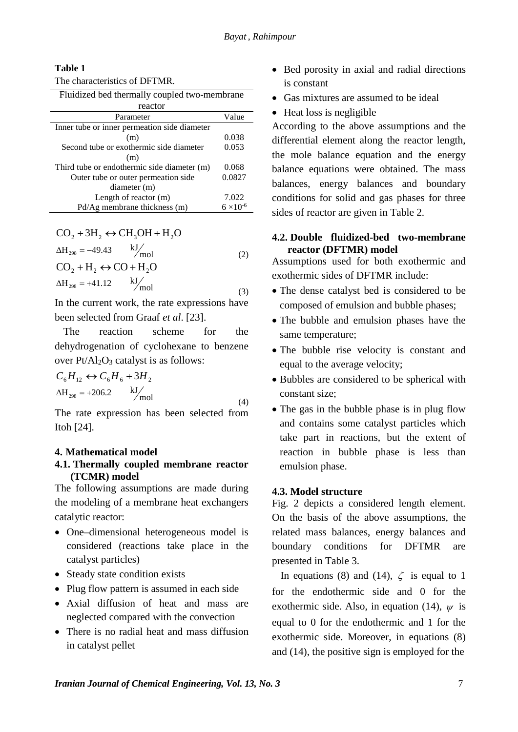#### **Table 1**

| The characteristics of DFTMR.                |                    |
|----------------------------------------------|--------------------|
| Fluidized bed thermally coupled two-membrane |                    |
| reactor                                      |                    |
| Parameter                                    | Value              |
| Inner tube or inner permeation side diameter |                    |
| (m)                                          | 0.038              |
| Second tube or exothermic side diameter      | 0.053              |
| (m)                                          |                    |
| Third tube or endothermic side diameter (m)  | 0.068              |
| Outer tube or outer permeation side          | 0.0827             |
| diameter (m)                                 |                    |
| Length of reactor $(m)$                      | 7.022              |
| Pd/Ag membrane thickness (m)                 | $6 \times 10^{-6}$ |

$$
CO2 + 3H2 \leftrightarrow CH3OH + H2O
$$
  
\n
$$
\Delta H298 = -49.43 \t\t kJ'mol
$$
  
\n
$$
CO2 + H2 \leftrightarrow CO + H2O
$$
  
\n
$$
\Delta H298 = +41.12 \t\t kJ'mol
$$
\n(3)

In the current work, the rate expressions have been selected from Graaf *et al*. [23].

The reaction scheme for the dehydrogenation of cyclohexane to benzene over  $Pt/Al<sub>2</sub>O<sub>3</sub>$  catalyst is as follows:

$$
C_6H_{12} \leftrightarrow C_6H_6 + 3H_2
$$
  
\n
$$
\Delta H_{298} = +206.2
$$
 kJ/mol (4)

The rate expression has been selected from Itoh [24].

## **4. Mathematical model**

## **4.1. Thermally coupled membrane reactor (TCMR) model**

The following assumptions are made during the modeling of a membrane heat exchangers catalytic reactor:

- One–dimensional heterogeneous model is considered (reactions take place in the catalyst particles)
- Steady state condition exists
- Plug flow pattern is assumed in each side
- Axial diffusion of heat and mass are neglected compared with the convection
- There is no radial heat and mass diffusion in catalyst pellet
- Bed porosity in axial and radial directions is constant
- Gas mixtures are assumed to be ideal
- Heat loss is negligible

According to the above assumptions and the differential element along the reactor length, the mole balance equation and the energy balance equations were obtained. The mass balances, energy balances and boundary conditions for solid and gas phases for three sides of reactor are given in Table 2.

## **4.2. Double fluidized-bed two-membrane reactor (DFTMR) model**

Assumptions used for both exothermic and exothermic sides of DFTMR include:

- The dense catalyst bed is considered to be composed of emulsion and bubble phases;
- The bubble and emulsion phases have the same temperature;
- The bubble rise velocity is constant and equal to the average velocity;
- Bubbles are considered to be spherical with constant size;
- The gas in the bubble phase is in plug flow and contains some catalyst particles which take part in reactions, but the extent of reaction in bubble phase is less than emulsion phase.

## **4.3. Model structure**

Fig. 2 depicts a considered length element. On the basis of the above assumptions, the related mass balances, energy balances and boundary conditions for DFTMR are presented in Table 3.

In equations (8) and (14),  $\zeta$  is equal to 1 for the endothermic side and 0 for the exothermic side. Also, in equation (14),  $\psi$  is equal to 0 for the endothermic and 1 for the exothermic side. Moreover, in equations (8) and (14), the positive sign is employed for the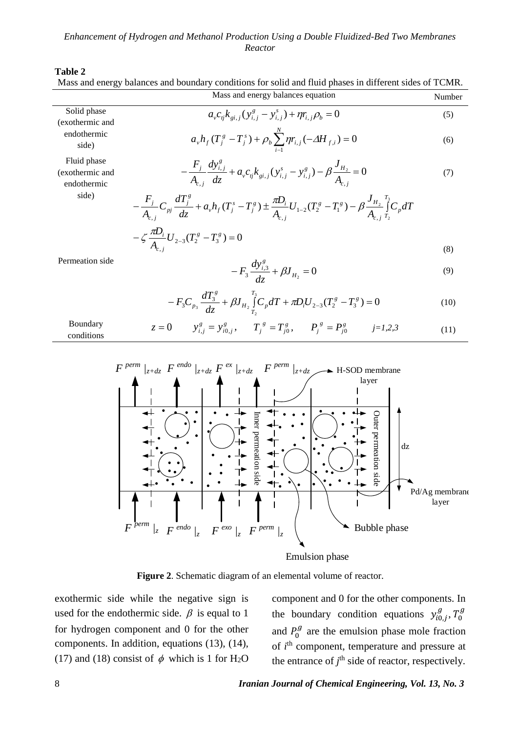# **Table 2**<br>Mass and e

|                                               | Mass and energy balances and boundary conditions for solid and fluid phases in different sides of TCMR.                                                              |        |
|-----------------------------------------------|----------------------------------------------------------------------------------------------------------------------------------------------------------------------|--------|
|                                               | Mass and energy balances equation                                                                                                                                    | Number |
| Solid phase<br>(exothermic and                | $a_{v}c_{ii}k_{gi}$ $(y_{i}^{g} - y_{i}^{g}) + \eta r_{i}^{f}$                                                                                                       | (5)    |
| endothermic<br>side)                          | $a_{\nu}h_{f}(T_{j}^{s}-T_{j}^{s})+\rho_{b}\sum_{i}^{N}\eta r_{i,j}(-\Delta H_{f,i})=0$                                                                              | (6)    |
| Fluid phase<br>(exothermic and<br>endothermic | $-\frac{F_j}{A_{c,i}}\frac{dy_{i,j}^s}{dz}+a_vc_{ij}k_{gi,j}(y_{i,j}^s-y_{i,j}^s)-\beta\frac{J_{H_2}}{A_{c,i}}=0$                                                    | (7)    |
| side)                                         | $-\frac{F_j}{A_{c,j}}C_{pj}\frac{dT_j^s}{dz}+a_vh_f(T_j^s-T_j^s)\pm \frac{\pi D_i}{A_{c,i}}U_{1-2}(T_2^s-T_1^s)-\beta\frac{J_{H_2}}{A}\int\limits_{-T_1}^{T_3}C_pdT$ |        |
|                                               | $-\zeta \frac{\pi D_i}{A} U_{2-3} (T_2^g - T_3^g) = 0$                                                                                                               |        |
| Permeation side                               |                                                                                                                                                                      | (8)    |
|                                               | $-F_3 \frac{dy_{i,3}^s}{dz} + \beta J_{H_2} = 0$                                                                                                                     | (9)    |
|                                               | $-F_3C_{p_3}\frac{dT_3^s}{dz}+\beta J_{H_2}\int_{T}^{T_3}C_p dT+\pi D_iU_{2-3}(T_2^s-T_3^s)=0$                                                                       | (10)   |
| Boundary<br>conditions                        | $y_{i,j}^g = y_{i0,j}^g$ , $T_i^g = T_{i0}^g$ , $P_i^g = P_{i0}^g$ $j=1,2,3$<br>$z=0$                                                                                | (11)   |
|                                               |                                                                                                                                                                      |        |

Pd/Ag membrane layer dz Outer permeation Outer permeation side  $F^{exo}$  /<sub>z</sub>  $\int_{z+dz} F \frac{ex}{z+dz}$  $F^{perm}/z$  $\int z + dz$  $F^{perm}/z$  $F \stackrel{perm}{=} \int_{z+dz} F \stackrel{endo}{=} \int_{z+dz}$ Bubble phase H-SOD membrane layer  $F^{endo}$  /z Emulsion phase Inner permeation Inner permeation side

**Figure 2**. Schematic diagram of an elemental volume of reactor.

exothermic side while the negative sign is used for the endothermic side.  $\beta$  is equal to 1 for hydrogen component and 0 for the other components. In addition, equations (13), (14), (17) and (18) consist of  $\phi$  which is 1 for H<sub>2</sub>O component and 0 for the other components. In the boundary condition equations  $y_{i0,j}^g$ ,  $T_0^g$ and  $P_0^g$  are the emulsion phase mole fraction of *i*<sup>th</sup> component, temperature and pressure at the entrance of  $j<sup>th</sup>$  side of reactor, respectively.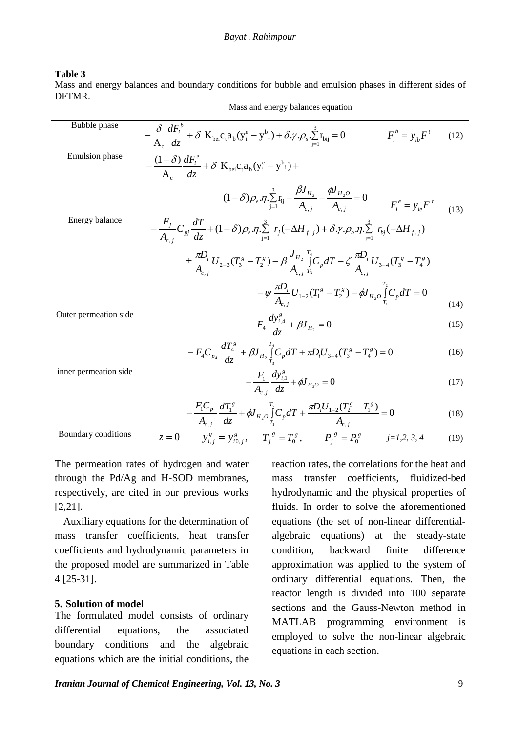#### **Table 3**

Mass and energy balances and boundary conditions for bubble and emulsion phases in different sides of DFTMR.

|                       | Mass and energy balances equation                                                                                                                                                           |      |
|-----------------------|---------------------------------------------------------------------------------------------------------------------------------------------------------------------------------------------|------|
| Bubble phase          | $-\frac{\delta}{A_{\circ}}\frac{dF_i^b}{dz}+\delta K_{\text{bei}}c_{\text{t}}a_{\text{b}}(y_i^e-y_{\text{t}}^b)+\delta \gamma \rho_s.\sum_{i=1}^3 r_{\text{bij}}=0$<br>$F_i^b = y_{ih} F^t$ | (12) |
| <b>Emulsion</b> phase | $-\frac{(1-\delta)}{A}\frac{dF_i^e}{dz}+\delta K_{\text{bei}}c_t a_b (y_i^e - y_{i}^b) +$                                                                                                   |      |
|                       | $(1-\delta)\rho_e \eta \cdot \sum_{i=1}^3 r_{ij} - \frac{\beta J_{H_2}}{A_{ij}} - \frac{\phi J_{H_2O}}{A_{ij}} = 0$<br>$F_i^e = y_{ie} F^t$                                                 | (13) |
| Energy balance        | $-\frac{r_j}{A}C_{pj}\frac{dT}{dz}+(1-\delta)\rho_e\eta\sum_{i=1}^3 r_j(-\Delta H_{f,j})+\delta\gamma\cdot\rho_b\eta\sum_{i=1}^3 r_{bj}(-\Delta H_{f,j})$                                   |      |
|                       | $\pm \frac{\pi D_i}{A_{i,j}} U_{2-3} (T_3^g - T_2^g) - \beta \frac{J_{H_2}}{A_{i,j}} \int_{T_2}^{T_4} C_p dT - \zeta \frac{\pi D_i}{A_{i,j}} U_{3-4} (T_3^g - T_4^g)$                       |      |
|                       | $-\psi \frac{\pi D_i}{A} U_{1-2} (T_1^g - T_2^g) - \phi J_{H_2O} \int_{T}^{T_2} C_p dT = 0$                                                                                                 | (14) |
| Outer permeation side | $-F_4 \frac{dy_{i,4}^s}{dz} + \beta J_{H_2} = 0$                                                                                                                                            | (15) |
|                       | $-F_4C_{p_4}\frac{dT_4^g}{dz}+\beta J_{H_2}\int_{T}^{T_4}C_p dT+\pi D_iU_{3-4}(T_3^g-T_4^g)=0$                                                                                              | (16) |
| inner permeation side | $-\frac{F_1}{A}\frac{dy_{i,1}^s}{dz}+\phi J_{H_2O}=0$                                                                                                                                       | (17) |
|                       | $-\frac{F_1C_{p_1}}{A_{q_1}}\frac{dT_1^g}{dz}+\phi J_{H_2O}\int_{T_1}^{T_2}C_p dT+\frac{\pi D_iU_{1-2}(T_2^g-T_1^g)}{A_{q_1}}=0$                                                            | (18) |

| Bour<br>ാവിന്<br>паа.<br>.<br>. | $\mathbf{u}$<br>$\overline{\phantom{0}}$<br>-<br>л. | $\sim$ 0<br>$\sim$<br>$\overline{\phantom{0}}$<br>-<br>- | $=$ | $1 - 1$ |  |
|---------------------------------|-----------------------------------------------------|----------------------------------------------------------|-----|---------|--|
|                                 |                                                     |                                                          |     |         |  |

The permeation rates of hydrogen and water through the Pd/Ag and H-SOD membranes, respectively, are cited in our previous works [2,21].

Auxiliary equations for the determination of mass transfer coefficients, heat transfer coefficients and hydrodynamic parameters in the proposed model are summarized in Table 4 [25-31].

#### **5. Solution of model**

The formulated model consists of ordinary differential equations, the associated boundary conditions and the algebraic equations which are the initial conditions, the reaction rates, the correlations for the heat and mass transfer coefficients, fluidized-bed hydrodynamic and the physical properties of fluids. In order to solve the aforementioned equations (the set of non-linear differentialalgebraic equations) at the steady-state condition, backward finite difference approximation was applied to the system of ordinary differential equations. Then, the reactor length is divided into 100 separate sections and the Gauss-Newton method in MATLAB programming environment is employed to solve the non-linear algebraic equations in each section.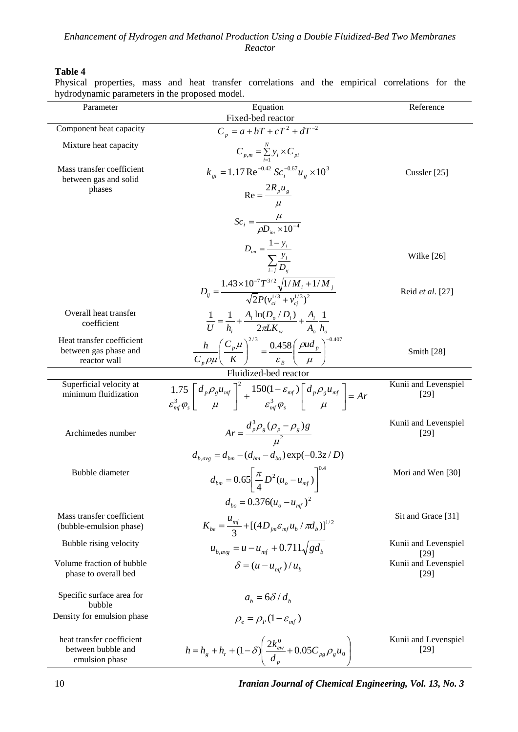### **Table 4**

Physical properties, mass and heat transfer correlations and the empirical correlations for the hydrodynamic parameters in the proposed model.

| Parameter                                                          | Equation                                                                                                                                                                                               | Reference                      |
|--------------------------------------------------------------------|--------------------------------------------------------------------------------------------------------------------------------------------------------------------------------------------------------|--------------------------------|
|                                                                    | Fixed-bed reactor                                                                                                                                                                                      |                                |
| Component heat capacity                                            | $C_p = a + bT + cT^2 + dT^{-2}$                                                                                                                                                                        |                                |
| Mixture heat capacity                                              | $C_{p,m} = \sum_{i=1}^{N} y_i \times C_{pi}$                                                                                                                                                           |                                |
| Mass transfer coefficient<br>between gas and solid                 | $k_{gi} = 1.17 \text{ Re}^{-0.42} Sc_i^{-0.67} u_g \times 10^3$                                                                                                                                        | Cussler [25]                   |
| phases                                                             | $Re = \frac{2R_p u_g}{\sqrt{2\pi}}$                                                                                                                                                                    |                                |
|                                                                    | $Sc_i = \frac{\mu}{\rho D_{in} \times 10^{-4}}$                                                                                                                                                        |                                |
|                                                                    |                                                                                                                                                                                                        |                                |
|                                                                    | $D_{im} = \frac{1 - y_i}{\sum_{i=1}^{n} \frac{y_i}{D_{ii}}}$                                                                                                                                           | Wilke $[26]$                   |
|                                                                    | $D_{ij} = \frac{1.43 \times 10^{-7} T^{3/2} \sqrt{1/M_i + 1/M_j}}{\sqrt{2} P(v_{si}^{1/3} + v_{gi}^{1/3})^2}$                                                                                          | Reid et al. [27]               |
| Overall heat transfer<br>coefficient                               | $\frac{1}{U} = \frac{1}{h} + \frac{A_i \ln(D_o/D_i)}{2 \pi I K} + \frac{A_i}{A} \frac{1}{L}$                                                                                                           |                                |
| Heat transfer coefficient<br>between gas phase and<br>reactor wall | $\frac{h}{C_p\rho\mu}\left(\frac{C_p\mu}{K}\right)^{2/3} = \frac{0.458}{\varepsilon_B}\left(\frac{\rho ud_p}{\mu}\right)^{-0.40}$                                                                      | Smith [28]                     |
|                                                                    | Fluidized-bed reactor                                                                                                                                                                                  |                                |
| Superficial velocity at<br>minimum fluidization                    | $\frac{1.75}{\varepsilon^3 \cdot \omega} \left[ \frac{d_p \rho_g u_{mf}}{u} \right]^2 + \frac{150 (1 - \varepsilon_{mf})}{\varepsilon^3 \cdot \omega} \left  \frac{d_p \rho_g u_{mf}}{u} \right  = Ar$ | Kunii and Levenspiel<br>$[29]$ |
| Archimedes number                                                  | $Ar = \frac{d_p^3 \rho_g (\rho_p - \rho_g)g}{\mu^2}$                                                                                                                                                   | Kunii and Levenspiel<br>$[29]$ |
|                                                                    | $d_{b,avg} = d_{bm} - (d_{bm} - d_{bo}) \exp(-0.3z/D)$                                                                                                                                                 |                                |
| Bubble diameter                                                    | $d_{bm} = 0.65 \left[ \frac{\pi}{4} D^2 (u_o - u_{mf}) \right]^{0.4}$                                                                                                                                  | Mori and Wen [30]              |
|                                                                    | $d_{bo} = 0.376(u_o - u_{mf})^2$                                                                                                                                                                       |                                |
| Mass transfer coefficient<br>(bubble-emulsion phase)               | $K_{be} = \frac{u_{mf}}{3} + [(4D_{jm}\varepsilon_{mf}u_b/\pi d_b)]^{1/2}$                                                                                                                             | Sit and Grace [31]             |
| Bubble rising velocity                                             | $u_{b,avg} = u - u_{mf} + 0.711\sqrt{gd_b}$                                                                                                                                                            | Kunii and Levenspiel<br>[29]   |
| Volume fraction of bubble<br>phase to overall bed                  | $\delta = (u - u_{m}^{}) / u_{h}^{}$                                                                                                                                                                   | Kunii and Levenspiel<br>$[29]$ |
| Specific surface area for<br>bubble                                | $ab = 6\delta/db$                                                                                                                                                                                      |                                |
| Density for emulsion phase                                         | $\rho_{\rm c} = \rho_{\rm p} (1 - \varepsilon_{\rm mf})$                                                                                                                                               |                                |
| heat transfer coefficient<br>between bubble and<br>emulsion phase  | $h = h_g + h_r + (1 - \delta) \left( \frac{2k_{ew}^0}{d_p} + 0.05 C_{pg} \rho_g u_0 \right)$                                                                                                           | Kunii and Levenspiel<br>$[29]$ |

10 *Iranian Journal of Chemical Engineering, Vol. 13, No. 3*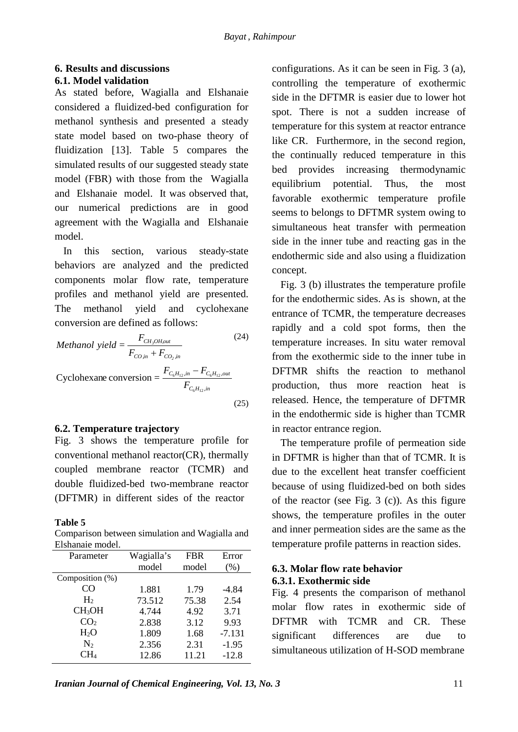## **6. Results and discussions 6.1. Model validation**

As stated before, Wagialla and Elshanaie considered a fluidized-bed configuration for methanol synthesis and presented a steady state model based on two-phase theory of fluidization [13]. Table 5 compares the simulated results of our suggested steady state model (FBR) with those from the Wagialla and Elshanaie model. It was observed that, our numerical predictions are in good agreement with the Wagialla and Elshanaie model.

In this section, various steady-state behaviors are analyzed and the predicted components molar flow rate, temperature profiles and methanol yield are presented. The methanol yield and cyclohexane conversion are defined as follows:

*Method of the image, and the provided HTML representation is* 
$$
F_{CO,in} + F_{CO_{2},in}
$$
 
$$
Cyclohexane conversion = \frac{F_{C_{6}H_{12},in} - F_{C_{6}H_{12},out}}{F_{C_{6}H_{12},in}}
$$
 (25)

# **6.2. Temperature trajectory**

Fig. 3 shows the temperature profile for conventional methanol reactor(CR), thermally coupled membrane reactor (TCMR) and double fluidized-bed two-membrane reactor (DFTMR) in different sides of the reactor

## **Table 5**

Comparison between simulation and Wagialla and Elshanaie model.

| Parameter          | Wagialla's | <b>FBR</b> | Error    |
|--------------------|------------|------------|----------|
|                    | model      | model      | (% )     |
| Composition $(\%)$ |            |            |          |
| CO                 | 1.881      | 1.79       | $-4.84$  |
| H <sub>2</sub>     | 73.512     | 75.38      | 2.54     |
| CH <sub>3</sub> OH | 4.744      | 4.92       | 3.71     |
| CO <sub>2</sub>    | 2.838      | 3.12       | 9.93     |
| $H_2O$             | 1.809      | 1.68       | $-7.131$ |
| N <sub>2</sub>     | 2.356      | 2.31       | $-1.95$  |
| $CH_4$             | 12.86      | 11.21      | $-12.8$  |

configurations. As it can be seen in Fig. 3 (a), controlling the temperature of exothermic side in the DFTMR is easier due to lower hot spot. There is not a sudden increase of temperature for this system at reactor entrance like CR. Furthermore, in the second region, the continually reduced temperature in this bed provides increasing thermodynamic equilibrium potential. Thus, the most favorable exothermic temperature profile seems to belongs to DFTMR system owing to simultaneous heat transfer with permeation side in the inner tube and reacting gas in the endothermic side and also using a fluidization concept.

Fig. 3 (b) illustrates the temperature profile for the endothermic sides. As is shown, at the entrance of TCMR, the temperature decreases rapidly and a cold spot forms, then the temperature increases. In situ water removal from the exothermic side to the inner tube in DFTMR shifts the reaction to methanol production, thus more reaction heat is released. Hence, the temperature of DFTMR in the endothermic side is higher than TCMR in reactor entrance region.

The temperature profile of permeation side in DFTMR is higher than that of TCMR. It is due to the excellent heat transfer coefficient because of using fluidized-bed on both sides of the reactor (see Fig. 3 (c)). As this figure shows, the temperature profiles in the outer and inner permeation sides are the same as the temperature profile patterns in reaction sides.

## **6.3. Molar flow rate behavior 6.3.1. Exothermic side**

Fig. 4 presents the comparison of methanol molar flow rates in exothermic side of DFTMR with TCMR and CR. These significant differences are due to simultaneous utilization of H-SOD membrane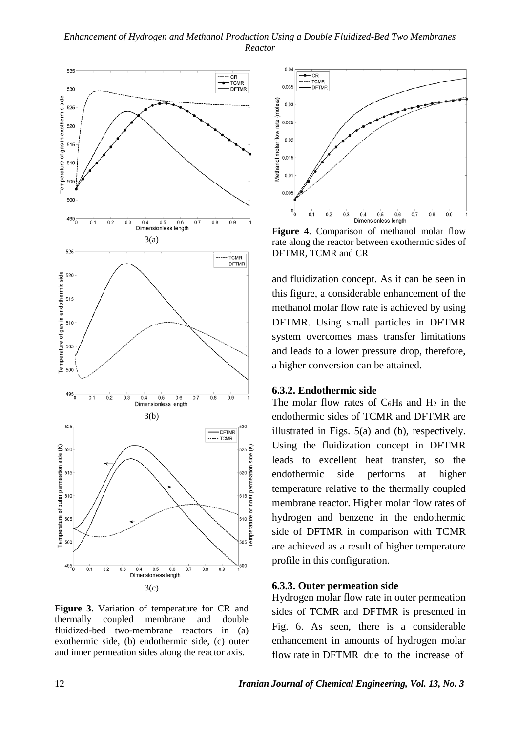

**Figure 3**. Variation of temperature for CR and thermally coupled membrane and double fluidized-bed two-membrane reactors in (a) exothermic side, (b) endothermic side, (c) outer and inner permeation sides along the reactor axis.

![](_page_11_Figure_3.jpeg)

**Figure 4**. Comparison of methanol molar flow rate along the reactor between exothermic sides of DFTMR, TCMR and CR

and fluidization concept. As it can be seen in this figure, a considerable enhancement of the methanol molar flow rate is achieved by using DFTMR. Using small particles in DFTMR system overcomes mass transfer limitations and leads to a lower pressure drop, therefore, a higher conversion can be attained.

#### **6.3.2. Endothermic side**

The molar flow rates of  $C_6H_6$  and  $H_2$  in the endothermic sides of TCMR and DFTMR are illustrated in Figs. 5(a) and (b), respectively. Using the fluidization concept in DFTMR leads to excellent heat transfer, so the endothermic side performs at higher temperature relative to the thermally coupled membrane reactor. Higher molar flow rates of hydrogen and benzene in the endothermic side of DFTMR in comparison with TCMR are achieved as a result of higher temperature profile in this configuration.

#### **6.3.3. Outer permeation side**

Hydrogen molar flow rate in outer permeation sides of TCMR and DFTMR is presented in Fig. 6. As seen, there is a considerable enhancement in amounts of hydrogen molar flow rate in DFTMR due to the increase of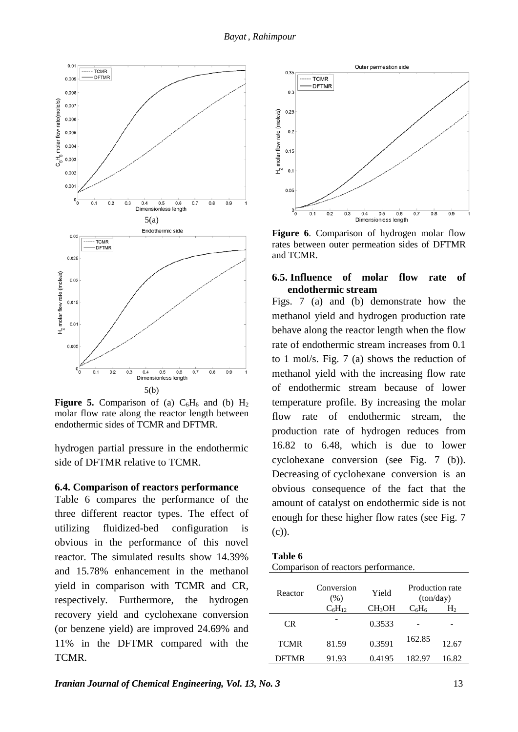![](_page_12_Figure_1.jpeg)

**Figure 5.** Comparison of (a)  $C_6H_6$  and (b)  $H_2$ molar flow rate along the reactor length between endothermic sides of TCMR and DFTMR.

hydrogen partial pressure in the endothermic side of DFTMR relative to TCMR.

#### **6.4. Comparison of reactors performance**

Table 6 compares the performance of the three different reactor types. The effect of utilizing fluidized-bed configuration is obvious in the performance of this novel reactor. The simulated results show 14.39% and 15.78% enhancement in the methanol yield in comparison with TCMR and CR, respectively. Furthermore, the hydrogen recovery yield and cyclohexane conversion (or benzene yield) are improved 24.69% and 11% in the DFTMR compared with the TCMR.

![](_page_12_Figure_6.jpeg)

**Figure 6**. Comparison of hydrogen molar flow rates between outer permeation sides of DFTMR and TCMR.

### **6.5. Influence of molar flow rate of endothermic stream**

Figs. 7 (a) and (b) demonstrate how the methanol yield and hydrogen production rate behave along the reactor length when the flow rate of endothermic stream increases from 0.1 to 1 mol/s. Fig. 7 (a) shows the reduction of methanol yield with the increasing flow rate of endothermic stream because of lower temperature profile. By increasing the molar flow rate of endothermic stream, the production rate of hydrogen reduces from 16.82 to 6.48, which is due to lower cyclohexane conversion (see Fig. 7 (b)). Decreasing of cyclohexane conversion is an obvious consequence of the fact that the amount of catalyst on endothermic side is not enough for these higher flow rates (see Fig. 7 (c)).

| Table 6 |  |                                     |
|---------|--|-------------------------------------|
|         |  | Comparison of reactors performance. |

| Reactor     | Conversion<br>(% ) | Yield              | Production rate<br>(ton/day) |                |
|-------------|--------------------|--------------------|------------------------------|----------------|
|             | $C_6H_{12}$        | CH <sub>3</sub> OH | $C_6H_6$                     | H <sub>2</sub> |
| CR.         |                    | 0.3533             |                              |                |
| <b>TCMR</b> | 81.59              | 0.3591             | 162.85                       | 12.67          |
| DFTMR       | 91.93              | 0.4195             | 182.97                       | 16.82          |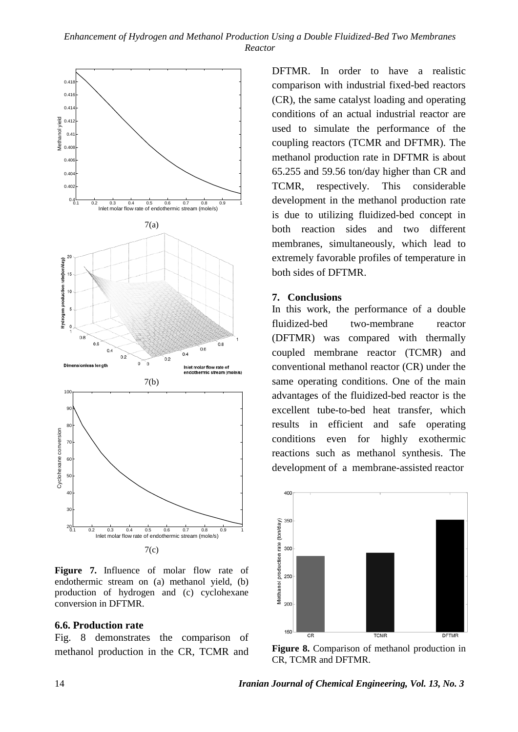![](_page_13_Figure_1.jpeg)

Figure 7. Influence of molar flow rate of endothermic stream on (a) methanol yield, (b) production of hydrogen and (c) cyclohexane conversion in DFTMR.

#### **6.6. Production rate**

Fig. 8 demonstrates the comparison of methanol production in the CR, TCMR and DFTMR. In order to have a realistic comparison with industrial fixed-bed reactors (CR), the same catalyst loading and operating conditions of an actual industrial reactor are used to simulate the performance of the coupling reactors (TCMR and DFTMR). The methanol production rate in DFTMR is about 65.255 and 59.56 ton/day higher than CR and TCMR, respectively. This considerable development in the methanol production rate is due to utilizing fluidized-bed concept in both reaction sides and two different membranes, simultaneously, which lead to extremely favorable profiles of temperature in both sides of DFTMR.

#### **7. Conclusions**

In this work, the performance of a double fluidized-bed two-membrane reactor (DFTMR) was compared with thermally coupled membrane reactor (TCMR) and conventional methanol reactor (CR) under the same operating conditions. One of the main advantages of the fluidized-bed reactor is the excellent tube-to-bed heat transfer, which results in efficient and safe operating conditions even for highly exothermic reactions such as methanol synthesis. The development of a membrane-assisted reactor

![](_page_13_Figure_8.jpeg)

**Figure 8.** Comparison of methanol production in CR, TCMR and DFTMR.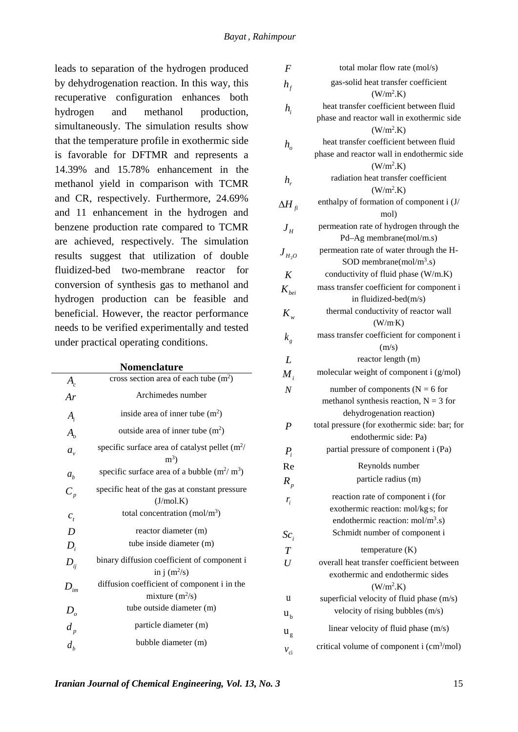leads to separation of the hydrogen produced by dehydrogenation reaction. In this way, this recuperative configuration enhances both hydrogen and methanol production, simultaneously. The simulation results show that the temperature profile in exothermic side is favorable for DFTMR and represents a 14.39% and 15.78% enhancement in the methanol yield in comparison with TCMR and CR, respectively. Furthermore, 24.69% and 11 enhancement in the hydrogen and benzene production rate compared to TCMR are achieved, respectively. The simulation results suggest that utilization of double fluidized-bed two-membrane reactor for conversion of synthesis gas to methanol and hydrogen production can be feasible and beneficial. However, the reactor performance needs to be verified experimentally and tested under practical operating conditions.

|                                | <b>Nomenclature</b>                                       |
|--------------------------------|-----------------------------------------------------------|
| $A_c^{\vphantom{\dagger}}$     | cross section area of each tube $(m2)$                    |
| Ar                             | Archimedes number                                         |
| $A_i$                          | inside area of inner tube $(m2)$                          |
| $A_{\scriptscriptstyle\alpha}$ | outside area of inner tube $(m2)$                         |
| $a_{\nu}$                      | specific surface area of catalyst pellet $(m^2)$<br>$m^3$ |
| $a_{h}$                        | specific surface area of a bubble $(m^2/m^3)$             |
| $C_p$                          | specific heat of the gas at constant pressure             |
|                                | (J/mol.K)                                                 |
| $c_{t}$                        | total concentration (mol/m <sup>3</sup> )                 |
| D                              | reactor diameter (m)                                      |
| $D_i$                          | tube inside diameter (m)                                  |
| $D_{ii}$                       | binary diffusion coefficient of component i               |
|                                | in j $(m^2/s)$                                            |
| $D_{\scriptscriptstyle im}$    | diffusion coefficient of component i in the               |
|                                | mixture $(m^2/s)$                                         |
| $D_{\scriptscriptstyle o}$     | tube outside diameter (m)                                 |
| $d_{p}$                        | particle diameter (m)                                     |
| $d_{h}$                        | bubble diameter (m)                                       |

| F                                        | total molar flow rate (mol/s)                                |
|------------------------------------------|--------------------------------------------------------------|
| $h_{_f}$                                 | gas-solid heat transfer coefficient<br>(W/m <sup>2</sup> .K) |
|                                          | heat transfer coefficient between fluid                      |
| $h_i$                                    | phase and reactor wall in exothermic side                    |
|                                          | (W/m <sup>2</sup> .K)                                        |
| $h_{\scriptscriptstyle\alpha}$           | heat transfer coefficient between fluid                      |
|                                          | phase and reactor wall in endothermic side                   |
|                                          | (W/m <sup>2</sup> .K)                                        |
| $h_{\rm r}$                              | radiation heat transfer coefficient                          |
|                                          | (W/m <sup>2</sup> .K)                                        |
| $\Delta H_{~\textrm{fi}}$                | enthalpy of formation of component i (J/                     |
|                                          | mol)                                                         |
| $\boldsymbol{J}_H$                       | permeation rate of hydrogen through the                      |
|                                          | Pd-Ag membrane(mol/m.s)                                      |
| $J_{H_2O}$                               | permeation rate of water through the H-                      |
|                                          | SOD membrane(mol/m <sup>3</sup> .s)                          |
| K                                        | conductivity of fluid phase (W/m.K)                          |
| $K_{hoi}$                                | mass transfer coefficient for component i                    |
|                                          | in fluidized-bed(m/s)                                        |
| $K_{w}$                                  | thermal conductivity of reactor wall                         |
|                                          | (W/m K)                                                      |
| $k_{g}$                                  | mass transfer coefficient for component i                    |
|                                          | (m/s)                                                        |
| L                                        | reactor length (m)                                           |
| $M_{i}$                                  | molecular weight of component i (g/mol)                      |
| $\boldsymbol{N}$                         | number of components ( $N = 6$ for                           |
|                                          | methanol synthesis reaction, $N = 3$ for                     |
|                                          | dehydrogenation reaction)                                    |
| P                                        | total pressure (for exothermic side: bar; for                |
|                                          | endothermic side: Pa)                                        |
| $P_i$                                    | partial pressure of component i (Pa)                         |
| Re                                       | Reynolds number                                              |
| $R_{n}$                                  | particle radius (m)                                          |
| $r_i$                                    | reaction rate of component i (for                            |
|                                          | exothermic reaction: mol/kg s; for                           |
|                                          | endothermic reaction: $mol/m3$ .s)                           |
| $Sc_i$                                   | Schmidt number of component i                                |
| $\overline{T}$                           | temperature $(K)$                                            |
| U                                        | overall heat transfer coefficient between                    |
|                                          | exothermic and endothermic sides<br>(W/m <sup>2</sup> .K)    |
| u                                        | superficial velocity of fluid phase (m/s)                    |
| u <sub>b</sub>                           | velocity of rising bubbles (m/s)                             |
| $\mathbf{u}_{\mathrm{g}}$                | linear velocity of fluid phase (m/s)                         |
| $\ensuremath{\mathcal{V}}_{\mathrm{ci}}$ | critical volume of component i (cm <sup>3</sup> /mol)        |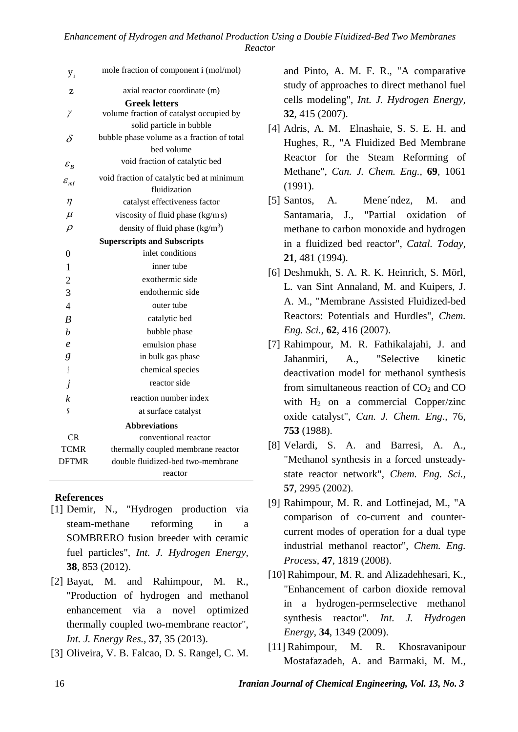| $y_i$                                      | mole fraction of component i (mol/mol)     |
|--------------------------------------------|--------------------------------------------|
| Z                                          | axial reactor coordinate (m)               |
|                                            | <b>Greek letters</b>                       |
| γ                                          | volume fraction of catalyst occupied by    |
|                                            | solid particle in bubble                   |
| δ                                          | bubble phase volume as a fraction of total |
|                                            | bed volume                                 |
| $\varepsilon_{_B}$                         | void fraction of catalytic bed             |
| $\varepsilon_{\scriptscriptstyle m\!f}^{}$ | void fraction of catalytic bed at minimum  |
|                                            | fluidization                               |
| $\eta$                                     | catalyst effectiveness factor              |
| $\mu$                                      | viscosity of fluid phase (kg/ms)           |
| $\rho$                                     | density of fluid phase $(kg/m3)$           |
| <b>Superscripts and Subscripts</b>         |                                            |
| $\overline{0}$                             | inlet conditions                           |
| $\mathbf{1}$                               | inner tube                                 |
| $\overline{c}$                             | exothermic side                            |
| 3                                          | endothermic side                           |
| $\overline{4}$                             | outer tube                                 |
| $\overline{B}$                             | catalytic bed                              |
| $\boldsymbol{b}$                           | bubble phase                               |
| $\ell$                                     | emulsion phase                             |
| g                                          | in bulk gas phase                          |
| $\dot{i}$                                  | chemical species                           |
| j                                          | reactor side                               |
| $\boldsymbol{k}$                           | reaction number index                      |
| S                                          | at surface catalyst                        |
|                                            | <b>Abbreviations</b>                       |
| CR                                         | conventional reactor                       |
| <b>TCMR</b>                                | thermally coupled membrane reactor         |
| <b>DFTMR</b>                               | double fluidized-bed two-membrane          |
|                                            | reactor                                    |

## **References**

- [1] Demir, N., "Hydrogen production via steam-methane reforming in a SOMBRERO fusion breeder with ceramic fuel particles", *Int. J. Hydrogen Energy,* **38**, 853 (2012).
- [2] Bayat, M. and Rahimpour, M. R., "Production of hydrogen and methanol enhancement via a novel optimized thermally coupled two-membrane reactor", *Int. J. Energy Res.,* **37**, 35 (2013).
- [3] Oliveira, V. B. Falcao, D. S. Rangel, C. M.

and Pinto, A. M. F. R., "A comparative study of approaches to direct methanol fuel cells modeling", *Int. J. Hydrogen Energy,* **32**, 415 (2007).

- [4] Adris, A. M. Elnashaie, S. S. E. H. and Hughes, R., "A Fluidized Bed Membrane Reactor for the Steam Reforming of Methane", *Can. J. Chem. Eng.,* **69**, 1061 (1991).
- [5] Santos, A. Mene´ndez, M. and Santamaria, J., "Partial oxidation of methane to carbon monoxide and hydrogen in a fluidized bed reactor", *Catal. Today,* **21**, 481 (1994).
- [6] Deshmukh, S. A. R. K. Heinrich, S. Mörl, L. van Sint Annaland, M. and Kuipers, J. A. M., "Membrane Assisted Fluidized-bed Reactors: Potentials and Hurdles", *Chem. Eng. Sci.,* **62**, 416 (2007).
- [7] Rahimpour, M. R. Fathikalajahi, J. and Jahanmiri, A., "Selective kinetic deactivation model for methanol synthesis from simultaneous reaction of  $CO<sub>2</sub>$  and  $CO$ with  $H_2$  on a commercial Copper/zinc oxide catalyst", *Can. J. Chem. Eng.,* 76, **753** (1988).
- [8] Velardi, S. A. and Barresi, A. A., "Methanol synthesis in a forced unsteadystate reactor network", *Chem. Eng. Sci.,* **57**, 2995 (2002).
- [9] Rahimpour, M. R. and Lotfinejad, M., "A comparison of co-current and countercurrent modes of operation for a dual type industrial methanol reactor", *Chem. Eng. Process,* **47**, 1819 (2008).
- [10] Rahimpour, M. R. and Alizadehhesari, K., "Enhancement of carbon dioxide removal in a hydrogen-permselective methanol synthesis reactor". *Int. J. Hydrogen Energy*, **34**, 1349 (2009).
- [11] [Rahimpour,](http://www.scopus.com/scopus/search/submit/author.url?author=Rahimpour%2c+M.R.&origin=resultslist&authorId=6701362929&src=s) M. R. Khosravanipour Mostafazadeh, A. and Barmaki, M. M.,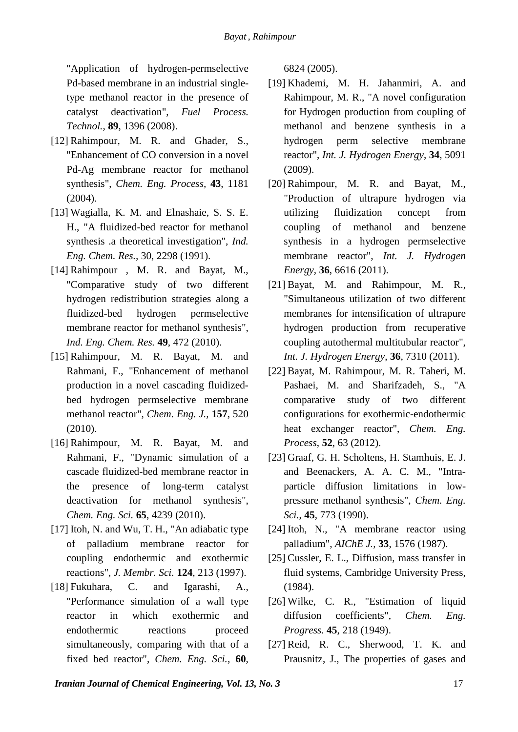"Application of hydrogen-permselective Pd-based membrane in an industrial singletype methanol reactor in the presence of catalyst deactivation", *Fuel Process. Technol.*, **89**, 1396 (2008).

- [12] Rahimpour, M. R. and Ghader, S., "Enhancement of CO conversion in a novel Pd-Ag membrane reactor for methanol synthesis", *Chem. Eng. Process,* **43**, 1181 (2004).
- [13] Wagialla, K. M. and Elnashaie, S. S. E. H., "A fluidized-bed reactor for methanol synthesis .a theoretical investigation", *Ind. Eng. Chem. Res.,* 30, 2298 (1991).
- [14] Rahimpour , M. R. and Bayat, M., "Comparative study of two different hydrogen redistribution strategies along a fluidized-bed hydrogen permselective membrane reactor for methanol synthesis", *Ind. Eng. Chem. Res.* **49**, 472 (2010).
- [15] Rahimpour, M. R. Bayat, M. and Rahmani, F., "Enhancement of methanol production in a novel cascading fluidizedbed hydrogen permselective membrane methanol reactor", *Chem. Eng. J.,* **157**, 520 (2010).
- [16] Rahimpour, M. R. Bayat, M. and Rahmani, F., "Dynamic simulation of a cascade fluidized-bed membrane reactor in the presence of long-term catalyst deactivation for methanol synthesis", *Chem. Eng. Sci.* **65**, 4239 (2010).
- [17] Itoh, N. and Wu, T. H., "An adiabatic type of palladium membrane reactor for coupling endothermic and exothermic reactions", *J. Membr. Sci.* **124**, 213 (1997).
- [18] Fukuhara, C. and Igarashi, A., "Performance simulation of a wall type reactor in which exothermic and endothermic reactions proceed simultaneously, comparing with that of a fixed bed reactor", *Chem. Eng. Sci.,* **60**,

6824 (2005).

- [19] Khademi, M. H. Jahanmiri, A. and Rahimpour, M. R., "A novel configuration for Hydrogen production from coupling of methanol and benzene synthesis in a hydrogen perm selective membrane reactor", *Int. J. Hydrogen Energy*, **34**, 5091 (2009).
- [20] Rahimpour, M. R. and Bayat, M., "Production of ultrapure hydrogen via utilizing fluidization concept from coupling of methanol and benzene synthesis in a hydrogen permselective membrane reactor", *Int. J. Hydrogen Energy*, **36**, 6616 (2011).
- [21] Bayat, M. and Rahimpour, M. R., "Simultaneous utilization of two different membranes for intensification of ultrapure hydrogen production from recuperative coupling autothermal multitubular reactor", *Int. J. Hydrogen Energy*, **36**, 7310 (2011).
- [22] Bayat, M. Rahimpour, M. R. Taheri, M. Pashaei, M. and Sharifzadeh, S., "A comparative study of two different configurations for exothermic-endothermic heat exchanger reactor", *Chem. Eng. Process*, **52**, 63 (2012).
- [23] Graaf, G. H. Scholtens, H. Stamhuis, E. J. and Beenackers, A. A. C. M., "Intraparticle diffusion limitations in lowpressure methanol synthesis", *Chem. Eng. Sci.*, **45**, 773 (1990).
- [24] Itoh, N., "A membrane reactor using palladium", *AIChE J.,* **33**, 1576 (1987).
- [25] Cussler, E. L., Diffusion, mass transfer in fluid systems, Cambridge University Press, (1984).
- [26] Wilke, C. R., "Estimation of liquid diffusion coefficients", *Chem. Eng. Progress.* **45**, 218 (1949).
- [27] Reid, R. C., Sherwood, T. K. and Prausnitz, J., The properties of gases and